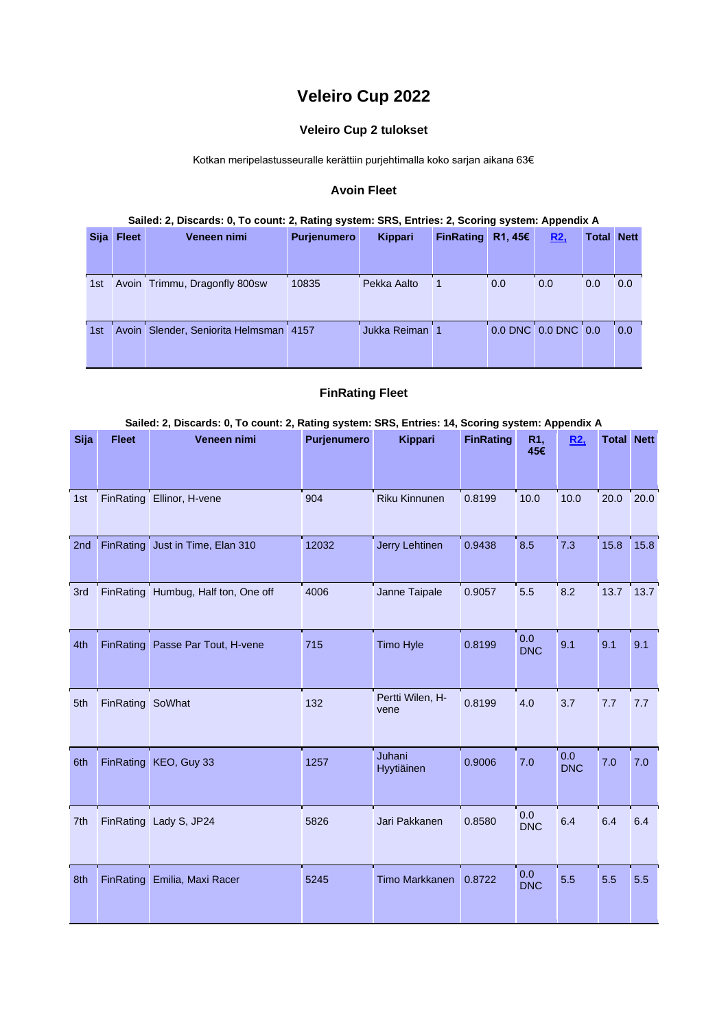# **Veleiro Cup 2022**

# **Veleiro Cup 2 tulokset**

Kotkan meripelastusseuralle kerättiin purjehtimalla koko sarjan aikana 63€

#### **Avoin Fleet**

#### **Sailed: 2, Discards: 0, To count: 2, Rating system: SRS, Entries: 2, Scoring system: Appendix A**

| <b>Sija</b> | <b>Fleet</b> | Veneen nimi                            | <b>Purjenumero</b> | Kippari        | <b>FinRating</b> | R1,456 | R2,                 | <b>Total Nett</b> |     |
|-------------|--------------|----------------------------------------|--------------------|----------------|------------------|--------|---------------------|-------------------|-----|
|             |              |                                        |                    |                |                  |        |                     |                   |     |
|             |              |                                        |                    |                |                  |        |                     |                   |     |
| 1st         |              | Avoin Trimmu, Dragonfly 800sw          | 10835              | Pekka Aalto    |                  | 0.0    | 0.0                 | 0.0               | 0.0 |
|             |              |                                        |                    |                |                  |        |                     |                   |     |
|             |              |                                        |                    |                |                  |        |                     |                   |     |
| 1st         |              | Avoin Slender, Seniorita Helmsman 4157 |                    | Jukka Reiman 1 |                  |        | 0.0 DNC 0.0 DNC 0.0 |                   | 0.0 |
|             |              |                                        |                    |                |                  |        |                     |                   |     |
|             |              |                                        |                    |                |                  |        |                     |                   |     |
|             |              |                                        |                    |                |                  |        |                     |                   |     |

#### **FinRating Fleet**

|             |                  |                                     |             | Sailed: 2, Discards: 0, To count: 2, Rating system: SRS, Entries: 14, Scoring system: Appendix A |                  |                   |                   |                   |      |  |  |  |  |  |  |
|-------------|------------------|-------------------------------------|-------------|--------------------------------------------------------------------------------------------------|------------------|-------------------|-------------------|-------------------|------|--|--|--|--|--|--|
| <b>Sija</b> | <b>Fleet</b>     | Veneen nimi                         | Purjenumero | <b>Kippari</b>                                                                                   | <b>FinRating</b> | R1,<br>45€        | R2.               | <b>Total Nett</b> |      |  |  |  |  |  |  |
| 1st         | FinRating        | Ellinor, H-vene                     | 904         | Riku Kinnunen                                                                                    | 0.8199           | 10.0              | 10.0              | 20.0              | 20.0 |  |  |  |  |  |  |
| 2nd         | <b>FinRating</b> | Just in Time, Elan 310              | 12032       | Jerry Lehtinen                                                                                   | 0.9438           | 8.5               | 7.3               | 15.8              | 15.8 |  |  |  |  |  |  |
| 3rd         |                  | FinRating Humbug, Half ton, One off | 4006        | Janne Taipale                                                                                    | 0.9057           | 5.5               | 8.2               | 13.7              | 13.7 |  |  |  |  |  |  |
| 4th         | <b>FinRating</b> | Passe Par Tout, H-vene              | 715         | Timo Hyle                                                                                        | 0.8199           | 0.0<br><b>DNC</b> | 9.1               | 9.1               | 9.1  |  |  |  |  |  |  |
| 5th         | FinRating SoWhat |                                     | 132         | Pertti Wilen, H-<br>vene                                                                         | 0.8199           | 4.0               | 3.7               | 7.7               | 7.7  |  |  |  |  |  |  |
| 6th         | <b>FinRating</b> | KEO, Guy 33                         | 1257        | Juhani<br>Hyytiäinen                                                                             | 0.9006           | 7.0               | 0.0<br><b>DNC</b> | 7.0               | 7.0  |  |  |  |  |  |  |
| 7th         |                  | FinRating Lady S, JP24              | 5826        | Jari Pakkanen                                                                                    | 0.8580           | 0.0<br><b>DNC</b> | 6.4               | 6.4               | 6.4  |  |  |  |  |  |  |
| 8th         | <b>FinRating</b> | Emilia, Maxi Racer                  | 5245        | Timo Markkanen                                                                                   | 0.8722           | 0.0<br><b>DNC</b> | 5.5               | 5.5               | 5.5  |  |  |  |  |  |  |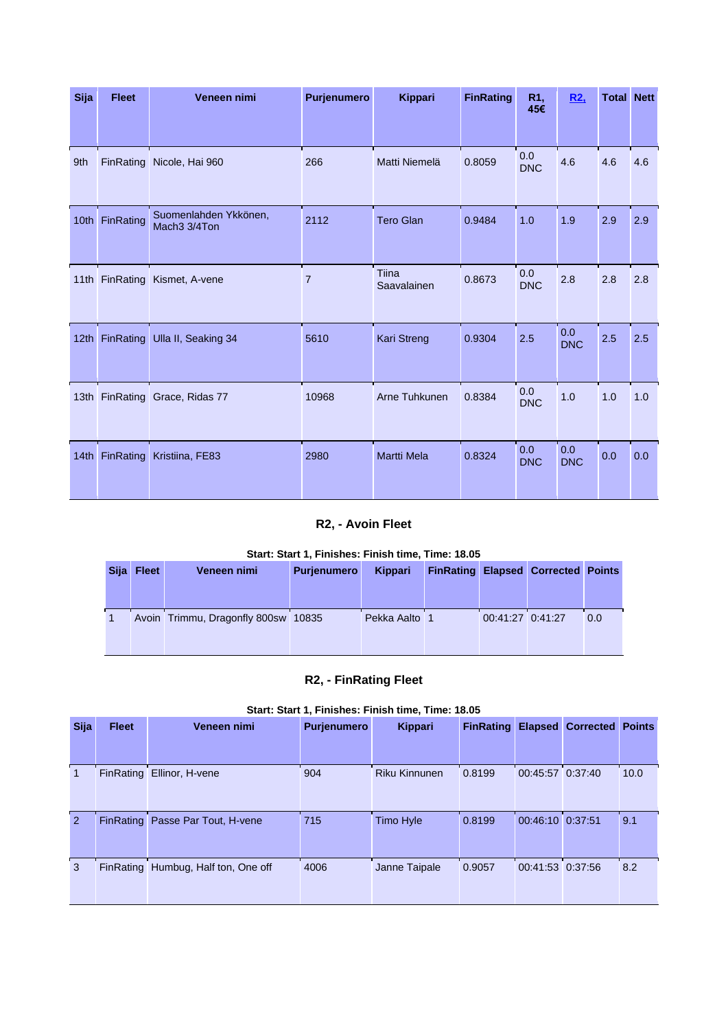| <b>Sija</b> | <b>Fleet</b>   | Veneen nimi                           | Purjenumero    | <b>Kippari</b>       | <b>FinRating</b> | R1,<br>45€        | R <sub>2</sub>    | <b>Total Nett</b> |     |
|-------------|----------------|---------------------------------------|----------------|----------------------|------------------|-------------------|-------------------|-------------------|-----|
|             |                |                                       |                |                      |                  |                   |                   |                   |     |
| 9th         |                | FinRating Nicole, Hai 960             | 266            | Matti Niemelä        | 0.8059           | 0.0<br><b>DNC</b> | 4.6               | 4.6               | 4.6 |
| 10th        | FinRating      | Suomenlahden Ykkönen,<br>Mach3 3/4Ton | 2112           | <b>Tero Glan</b>     | 0.9484           | 1.0               | 1.9               | 2.9               | 2.9 |
|             | 11th FinRating | Kismet, A-vene                        | $\overline{7}$ | Tiina<br>Saavalainen | 0.8673           | 0.0<br><b>DNC</b> | 2.8               | 2.8               | 2.8 |
|             |                | 12th FinRating Ulla II, Seaking 34    | 5610           | Kari Streng          | 0.9304           | 2.5               | 0.0<br><b>DNC</b> | 2.5               | 2.5 |
|             |                | 13th FinRating Grace, Ridas 77        | 10968          | Arne Tuhkunen        | 0.8384           | 0.0<br><b>DNC</b> | 1.0               | 1.0               | 1.0 |
|             | 14th FinRating | Kristiina, FE83                       | 2980           | <b>Martti Mela</b>   | 0.8324           | 0.0<br><b>DNC</b> | 0.0<br><b>DNC</b> | 0.0               | 0.0 |

## **R2, - Avoin Fleet**

|  | Start: Start 1, Finishes: Finish time, Time: 18.05 |  |
|--|----------------------------------------------------|--|
|  |                                                    |  |

| Sija | <b>Fleet</b> | Veneen nimi                         | <b>Purjenumero</b> | Kippari       |                  | <b>FinRating Elapsed Corrected Points</b> |     |
|------|--------------|-------------------------------------|--------------------|---------------|------------------|-------------------------------------------|-----|
|      |              | Avoin Trimmu, Dragonfly 800sw 10835 |                    | Pekka Aalto 1 | 00:41:27 0:41:27 |                                           | 0.0 |

# **R2, - FinRating Fleet**

### **Start: Start 1, Finishes: Finish time, Time: 18.05**

| <b>Sija</b>   | <b>Fleet</b> | Veneen nimi                         | <b>Purjenumero</b> | <b>Kippari</b>   | <b>FinRating</b> |                  | <b>Elapsed Corrected</b> | <b>Points</b> |
|---------------|--------------|-------------------------------------|--------------------|------------------|------------------|------------------|--------------------------|---------------|
|               |              |                                     |                    |                  |                  |                  |                          |               |
|               | FinRating    | Ellinor, H-vene                     | 904                | Riku Kinnunen    | 0.8199           | 00:45:57 0:37:40 |                          | 10.0          |
| $\mathcal{P}$ |              | FinRating Passe Par Tout, H-vene    | 715                | <b>Timo Hyle</b> | 0.8199           | 00:46:10 0:37:51 |                          | 9.1           |
| 3             |              | FinRating Humbug, Half ton, One off | 4006               | Janne Taipale    | 0.9057           | 00:41:53 0:37:56 |                          | 8.2           |